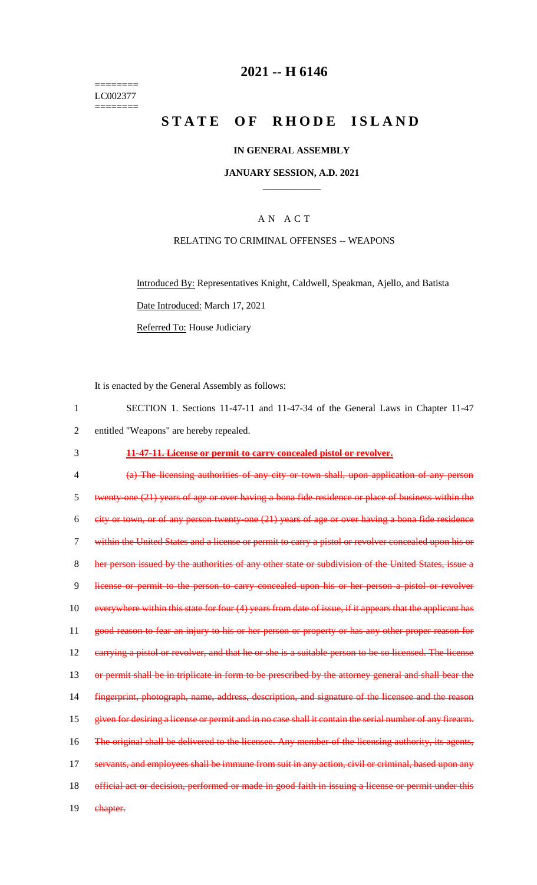======== LC002377  $=$ 

# **2021 -- H 6146**

# **STATE OF RHODE ISLAND**

## **IN GENERAL ASSEMBLY**

## **JANUARY SESSION, A.D. 2021 \_\_\_\_\_\_\_\_\_\_\_\_**

# A N A C T

## RELATING TO CRIMINAL OFFENSES -- WEAPONS

Introduced By: Representatives Knight, Caldwell, Speakman, Ajello, and Batista Date Introduced: March 17, 2021 Referred To: House Judiciary

It is enacted by the General Assembly as follows:

| $\mathbf{1}$   | SECTION 1. Sections 11-47-11 and 11-47-34 of the General Laws in Chapter 11-47                           |
|----------------|----------------------------------------------------------------------------------------------------------|
| $\overline{2}$ | entitled "Weapons" are hereby repealed.                                                                  |
| 3              | 11-47-11. License or permit to carry concealed pistol or revolver.                                       |
| 4              | (a) The licensing authorities of any city or town shall, upon application of any person                  |
| 5              | twenty one (21) years of age or over having a bona fide residence or place of business within the        |
| 6              | city or town, or of any person twenty-one (21) years of age or over having a bona fide residence         |
| 7              | within the United States and a license or permit to carry a pistol or revolver concealed upon his or     |
| 8              | her person issued by the authorities of any other state or subdivision of the United States, issue a     |
| 9              | license or permit to the person to carry concealed upon his or her person a pistol or revolver           |
| 10             | everywhere within this state for four (4) years from date of issue, if it appears that the applicant has |
| 11             | good reason to fear an injury to his or her person or property or has any other proper reason for        |
| 12             | earrying a pistol or revolver, and that he or she is a suitable person to be so licensed. The license    |
| 13             | or permit shall be in triplicate in form to be prescribed by the attorney general and shall bear the     |
| 14             | fingerprint, photograph, name, address, description, and signature of the licensee and the reason        |
| 15             | given for desiring a license or permit and in no case shall it contain the serial number of any firearm. |
| 16             | The original shall be delivered to the licensee. Any member of the licensing authority, its agents,      |
| 17             | servants, and employees shall be immune from suit in any action, civil or criminal, based upon any       |
| 18             | official act or decision, performed or made in good faith in issuing a license or permit under this      |
| 19             | chapter.                                                                                                 |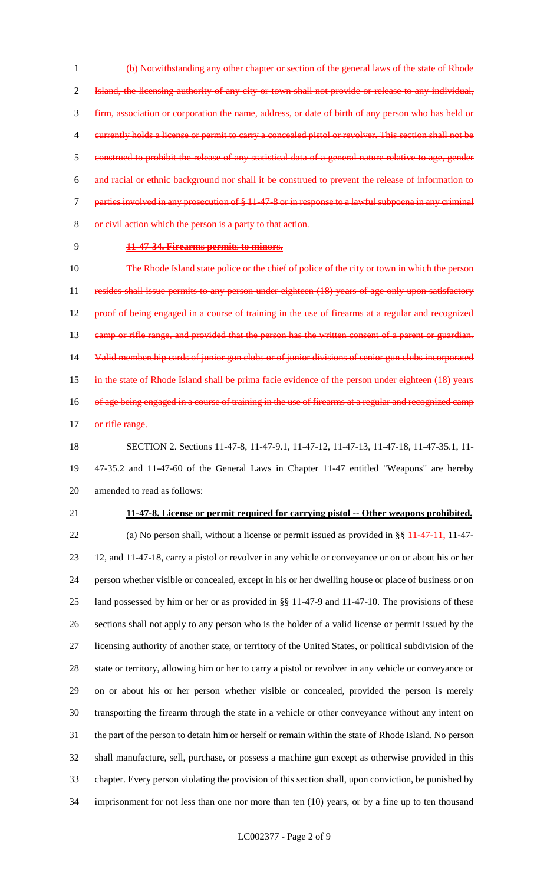(b) Notwithstanding any other chapter or section of the general laws of the state of Rhode Island, the licensing authority of any city or town shall not provide or release to any individual, firm, association or corporation the name, address, or date of birth of any person who has held or currently holds a license or permit to carry a concealed pistol or revolver. This section shall not be construed to prohibit the release of any statistical data of a general nature relative to age, gender and racial or ethnic background nor shall it be construed to prevent the release of information to parties involved in any prosecution of § 11-47-8 or in response to a lawful subpoena in any criminal or civil action which the person is a party to that action.

## **11-47-34. Firearms permits to minors.**

 The Rhode Island state police or the chief of police of the city or town in which the person 11 resides shall issue permits to any person under eighteen (18) years of age only upon satisfactory proof of being engaged in a course of training in the use of firearms at a regular and recognized 13 camp or rifle range, and provided that the person has the written consent of a parent or guardian. Valid membership cards of junior gun clubs or of junior divisions of senior gun clubs incorporated in the state of Rhode Island shall be prima facie evidence of the person under eighteen (18) years 16 of age being engaged in a course of training in the use of firearms at a regular and recognized camp 17 or rifle range.

 SECTION 2. Sections 11-47-8, 11-47-9.1, 11-47-12, 11-47-13, 11-47-18, 11-47-35.1, 11- 47-35.2 and 11-47-60 of the General Laws in Chapter 11-47 entitled "Weapons" are hereby amended to read as follows:

#### **11-47-8. License or permit required for carrying pistol -- Other weapons prohibited.**

22 (a) No person shall, without a license or permit issued as provided in §§  $11-47-11$ , 11-47- 12, and 11-47-18, carry a pistol or revolver in any vehicle or conveyance or on or about his or her person whether visible or concealed, except in his or her dwelling house or place of business or on land possessed by him or her or as provided in §§ 11-47-9 and 11-47-10. The provisions of these sections shall not apply to any person who is the holder of a valid license or permit issued by the licensing authority of another state, or territory of the United States, or political subdivision of the state or territory, allowing him or her to carry a pistol or revolver in any vehicle or conveyance or on or about his or her person whether visible or concealed, provided the person is merely transporting the firearm through the state in a vehicle or other conveyance without any intent on the part of the person to detain him or herself or remain within the state of Rhode Island. No person shall manufacture, sell, purchase, or possess a machine gun except as otherwise provided in this chapter. Every person violating the provision of this section shall, upon conviction, be punished by imprisonment for not less than one nor more than ten (10) years, or by a fine up to ten thousand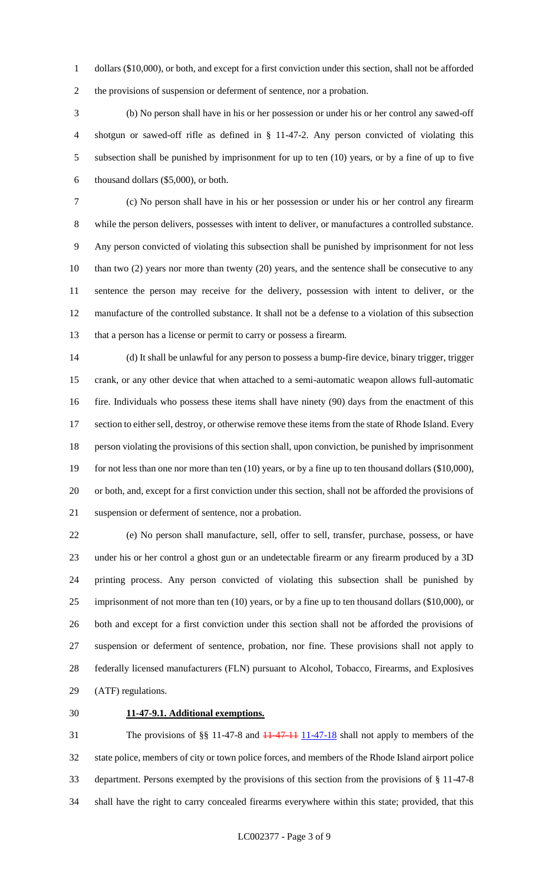dollars (\$10,000), or both, and except for a first conviction under this section, shall not be afforded the provisions of suspension or deferment of sentence, nor a probation.

 (b) No person shall have in his or her possession or under his or her control any sawed-off shotgun or sawed-off rifle as defined in § 11-47-2. Any person convicted of violating this subsection shall be punished by imprisonment for up to ten (10) years, or by a fine of up to five thousand dollars (\$5,000), or both.

 (c) No person shall have in his or her possession or under his or her control any firearm while the person delivers, possesses with intent to deliver, or manufactures a controlled substance. Any person convicted of violating this subsection shall be punished by imprisonment for not less 10 than two (2) years nor more than twenty (20) years, and the sentence shall be consecutive to any sentence the person may receive for the delivery, possession with intent to deliver, or the manufacture of the controlled substance. It shall not be a defense to a violation of this subsection that a person has a license or permit to carry or possess a firearm.

 (d) It shall be unlawful for any person to possess a bump-fire device, binary trigger, trigger crank, or any other device that when attached to a semi-automatic weapon allows full-automatic fire. Individuals who possess these items shall have ninety (90) days from the enactment of this 17 section to either sell, destroy, or otherwise remove these items from the state of Rhode Island. Every person violating the provisions of this section shall, upon conviction, be punished by imprisonment 19 for not less than one nor more than ten (10) years, or by a fine up to ten thousand dollars (\$10,000), or both, and, except for a first conviction under this section, shall not be afforded the provisions of suspension or deferment of sentence, nor a probation.

 (e) No person shall manufacture, sell, offer to sell, transfer, purchase, possess, or have under his or her control a ghost gun or an undetectable firearm or any firearm produced by a 3D printing process. Any person convicted of violating this subsection shall be punished by imprisonment of not more than ten (10) years, or by a fine up to ten thousand dollars (\$10,000), or both and except for a first conviction under this section shall not be afforded the provisions of suspension or deferment of sentence, probation, nor fine. These provisions shall not apply to federally licensed manufacturers (FLN) pursuant to Alcohol, Tobacco, Firearms, and Explosives (ATF) regulations.

## **11-47-9.1. Additional exemptions.**

31 The provisions of §§ 11-47-8 and <del>11-47-11</del> 11-47-18 shall not apply to members of the state police, members of city or town police forces, and members of the Rhode Island airport police department. Persons exempted by the provisions of this section from the provisions of § 11-47-8 shall have the right to carry concealed firearms everywhere within this state; provided, that this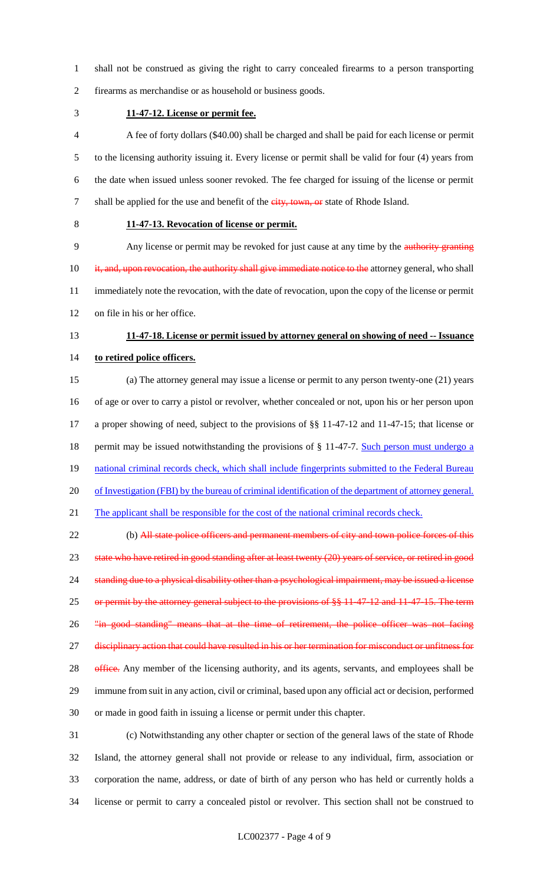- shall not be construed as giving the right to carry concealed firearms to a person transporting
- firearms as merchandise or as household or business goods.
- 

**11-47-12. License or permit fee.**

 A fee of forty dollars (\$40.00) shall be charged and shall be paid for each license or permit to the licensing authority issuing it. Every license or permit shall be valid for four (4) years from the date when issued unless sooner revoked. The fee charged for issuing of the license or permit 7 shall be applied for the use and benefit of the city, town, or state of Rhode Island.

# **11-47-13. Revocation of license or permit.**

 Any license or permit may be revoked for just cause at any time by the authority granting 10 it, and, upon revocation, the authority shall give immediate notice to the attorney general, who shall immediately note the revocation, with the date of revocation, upon the copy of the license or permit on file in his or her office.

# **11-47-18. License or permit issued by attorney general on showing of need -- Issuance to retired police officers.**

 (a) The attorney general may issue a license or permit to any person twenty-one (21) years of age or over to carry a pistol or revolver, whether concealed or not, upon his or her person upon a proper showing of need, subject to the provisions of §§ 11-47-12 and 11-47-15; that license or 18 permit may be issued notwithstanding the provisions of § 11-47-7. Such person must undergo a 19 national criminal records check, which shall include fingerprints submitted to the Federal Bureau of Investigation (FBI) by the bureau of criminal identification of the department of attorney general. 21 The applicant shall be responsible for the cost of the national criminal records check.

22 (b) All state police officers and permanent members of city and town police forces of this 23 state who have retired in good standing after at least twenty (20) years of service, or retired in good 24 standing due to a physical disability other than a psychological impairment, may be issued a license 25 or permit by the attorney general subject to the provisions of §§ 11 47 12 and 11 47 15. The term 26 "in good standing" means that at the time of retirement, the police officer was not facing 27 disciplinary action that could have resulted in his or her termination for misconduct or unfitness for 28 office. Any member of the licensing authority, and its agents, servants, and employees shall be immune from suit in any action, civil or criminal, based upon any official act or decision, performed or made in good faith in issuing a license or permit under this chapter.

 (c) Notwithstanding any other chapter or section of the general laws of the state of Rhode Island, the attorney general shall not provide or release to any individual, firm, association or corporation the name, address, or date of birth of any person who has held or currently holds a license or permit to carry a concealed pistol or revolver. This section shall not be construed to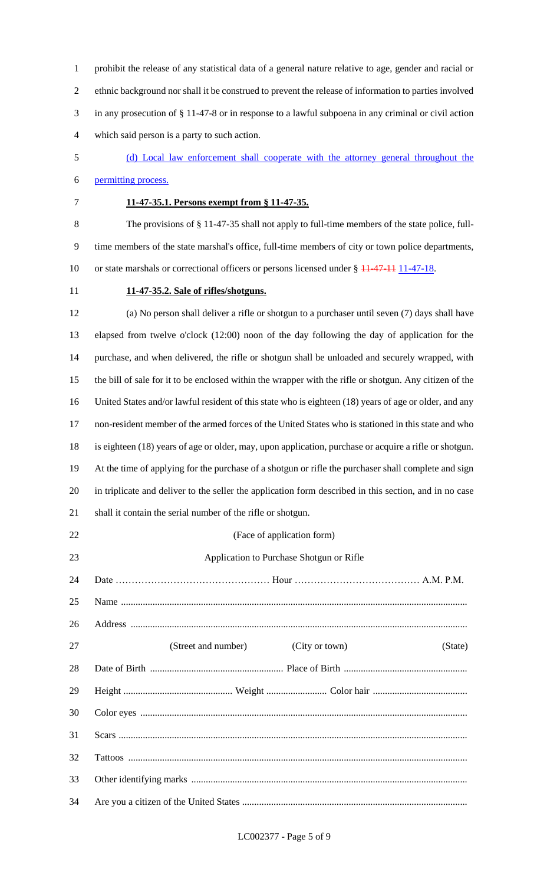prohibit the release of any statistical data of a general nature relative to age, gender and racial or ethnic background nor shall it be construed to prevent the release of information to parties involved in any prosecution of § 11-47-8 or in response to a lawful subpoena in any criminal or civil action which said person is a party to such action.

- (d) Local law enforcement shall cooperate with the attorney general throughout the permitting process.
- 

# **11-47-35.1. Persons exempt from § 11-47-35.**

 The provisions of § 11-47-35 shall not apply to full-time members of the state police, full- time members of the state marshal's office, full-time members of city or town police departments, 10 or state marshals or correctional officers or persons licensed under § 11-47-11 11-47-18.

## **11-47-35.2. Sale of rifles/shotguns.**

 (a) No person shall deliver a rifle or shotgun to a purchaser until seven (7) days shall have elapsed from twelve o'clock (12:00) noon of the day following the day of application for the purchase, and when delivered, the rifle or shotgun shall be unloaded and securely wrapped, with the bill of sale for it to be enclosed within the wrapper with the rifle or shotgun. Any citizen of the United States and/or lawful resident of this state who is eighteen (18) years of age or older, and any non-resident member of the armed forces of the United States who is stationed in this state and who is eighteen (18) years of age or older, may, upon application, purchase or acquire a rifle or shotgun. At the time of applying for the purchase of a shotgun or rifle the purchaser shall complete and sign in triplicate and deliver to the seller the application form described in this section, and in no case shall it contain the serial number of the rifle or shotgun.

| 22 | (Face of application form)                       |
|----|--------------------------------------------------|
| 23 | Application to Purchase Shotgun or Rifle         |
| 24 |                                                  |
| 25 |                                                  |
| 26 |                                                  |
| 27 | (Street and number)<br>(City or town)<br>(State) |
| 28 |                                                  |
| 29 |                                                  |
| 30 |                                                  |
| 31 |                                                  |
| 32 |                                                  |
| 33 |                                                  |
| 34 |                                                  |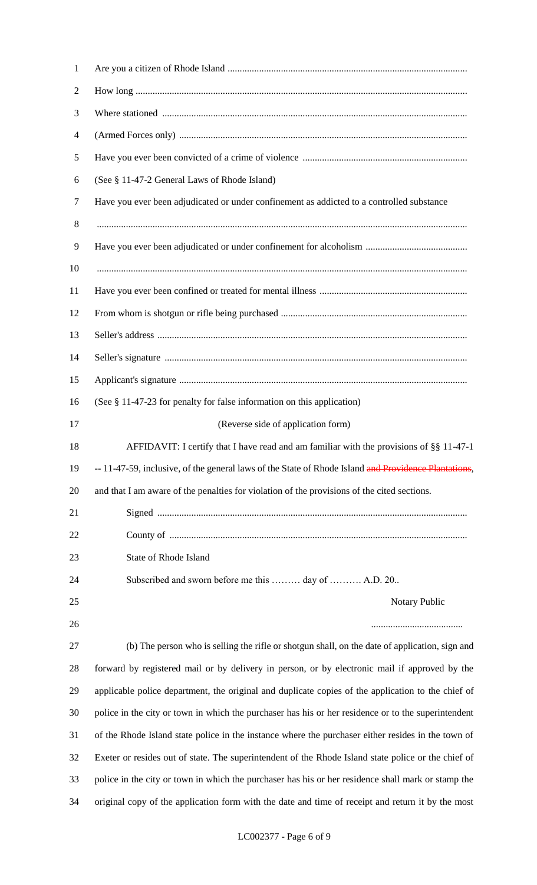| $\mathbf{1}$   |                                                                                                      |
|----------------|------------------------------------------------------------------------------------------------------|
| $\overline{2}$ |                                                                                                      |
| 3              |                                                                                                      |
| $\overline{4}$ |                                                                                                      |
| 5              |                                                                                                      |
| 6              | (See § 11-47-2 General Laws of Rhode Island)                                                         |
| 7              | Have you ever been adjudicated or under confinement as addicted to a controlled substance            |
| 8              |                                                                                                      |
| 9              |                                                                                                      |
| 10             |                                                                                                      |
| 11             |                                                                                                      |
| 12             |                                                                                                      |
| 13             |                                                                                                      |
| 14             |                                                                                                      |
| 15             |                                                                                                      |
| 16             | (See § 11-47-23 for penalty for false information on this application)                               |
| 17             | (Reverse side of application form)                                                                   |
| 18             | AFFIDAVIT: I certify that I have read and am familiar with the provisions of §§ 11-47-1              |
| 19             | -- 11-47-59, inclusive, of the general laws of the State of Rhode Island and Providence Plantations, |
| 20             | and that I am aware of the penalties for violation of the provisions of the cited sections.          |
| 21             |                                                                                                      |
| 22             |                                                                                                      |
| 23             | State of Rhode Island                                                                                |
| 24             | Subscribed and sworn before me this  day of  A.D. 20                                                 |
| 25             | Notary Public                                                                                        |
| 26             |                                                                                                      |
| 27             | (b) The person who is selling the rifle or shotgun shall, on the date of application, sign and       |
| 28             | forward by registered mail or by delivery in person, or by electronic mail if approved by the        |
| 29             | applicable police department, the original and duplicate copies of the application to the chief of   |
| 30             | police in the city or town in which the purchaser has his or her residence or to the superintendent  |
| 31             | of the Rhode Island state police in the instance where the purchaser either resides in the town of   |
| 32             | Exeter or resides out of state. The superintendent of the Rhode Island state police or the chief of  |
| 33             | police in the city or town in which the purchaser has his or her residence shall mark or stamp the   |
| 34             | original copy of the application form with the date and time of receipt and return it by the most    |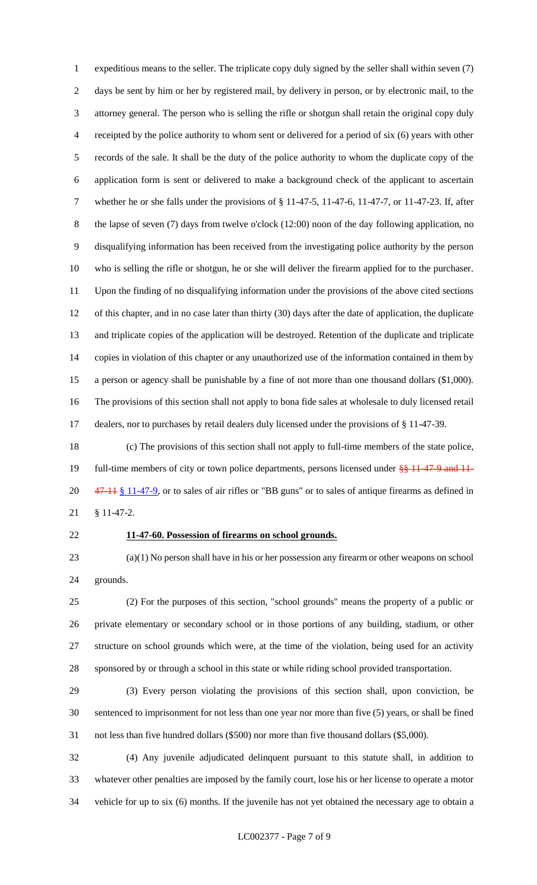expeditious means to the seller. The triplicate copy duly signed by the seller shall within seven (7) days be sent by him or her by registered mail, by delivery in person, or by electronic mail, to the attorney general. The person who is selling the rifle or shotgun shall retain the original copy duly receipted by the police authority to whom sent or delivered for a period of six (6) years with other records of the sale. It shall be the duty of the police authority to whom the duplicate copy of the application form is sent or delivered to make a background check of the applicant to ascertain whether he or she falls under the provisions of § 11-47-5, 11-47-6, 11-47-7, or 11-47-23. If, after 8 the lapse of seven (7) days from twelve o'clock (12:00) noon of the day following application, no disqualifying information has been received from the investigating police authority by the person who is selling the rifle or shotgun, he or she will deliver the firearm applied for to the purchaser. Upon the finding of no disqualifying information under the provisions of the above cited sections of this chapter, and in no case later than thirty (30) days after the date of application, the duplicate and triplicate copies of the application will be destroyed. Retention of the duplicate and triplicate copies in violation of this chapter or any unauthorized use of the information contained in them by a person or agency shall be punishable by a fine of not more than one thousand dollars (\$1,000). The provisions of this section shall not apply to bona fide sales at wholesale to duly licensed retail dealers, nor to purchases by retail dealers duly licensed under the provisions of § 11-47-39.

 (c) The provisions of this section shall not apply to full-time members of the state police, 19 full-time members of city or town police departments, persons licensed under  $\frac{8}{9}$  11-47-9 and 11-20 47-11 § 11-47-9, or to sales of air rifles or "BB guns" or to sales of antique firearms as defined in § 11-47-2.

## **11-47-60. Possession of firearms on school grounds.**

 (a)(1) No person shall have in his or her possession any firearm or other weapons on school grounds.

 (2) For the purposes of this section, "school grounds" means the property of a public or private elementary or secondary school or in those portions of any building, stadium, or other structure on school grounds which were, at the time of the violation, being used for an activity sponsored by or through a school in this state or while riding school provided transportation.

 (3) Every person violating the provisions of this section shall, upon conviction, be sentenced to imprisonment for not less than one year nor more than five (5) years, or shall be fined not less than five hundred dollars (\$500) nor more than five thousand dollars (\$5,000).

 (4) Any juvenile adjudicated delinquent pursuant to this statute shall, in addition to whatever other penalties are imposed by the family court, lose his or her license to operate a motor vehicle for up to six (6) months. If the juvenile has not yet obtained the necessary age to obtain a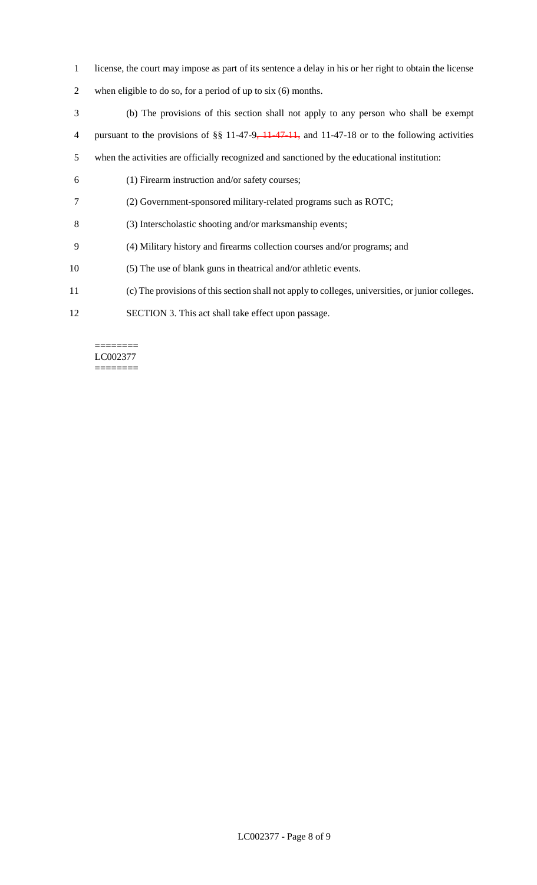- license, the court may impose as part of its sentence a delay in his or her right to obtain the license
- when eligible to do so, for a period of up to six (6) months.
- (b) The provisions of this section shall not apply to any person who shall be exempt 4 pursuant to the provisions of §§ 11-47-9, 11-47-11, and 11-47-18 or to the following activities when the activities are officially recognized and sanctioned by the educational institution: (1) Firearm instruction and/or safety courses;
- (2) Government-sponsored military-related programs such as ROTC;
- (3) Interscholastic shooting and/or marksmanship events;
- (4) Military history and firearms collection courses and/or programs; and
- (5) The use of blank guns in theatrical and/or athletic events.
- (c) The provisions of this section shall not apply to colleges, universities, or junior colleges.
- SECTION 3. This act shall take effect upon passage.

======== LC002377 ========